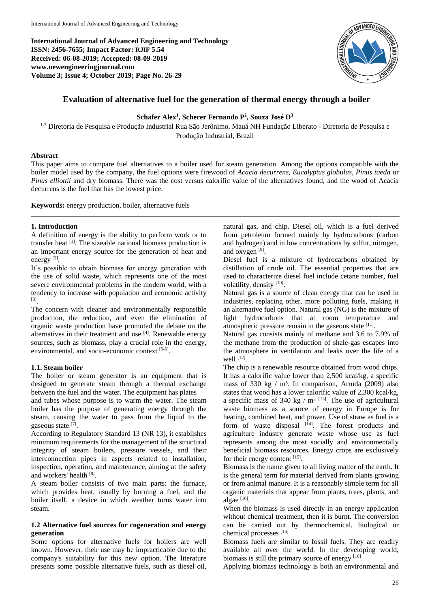**International Journal of Advanced Engineering and Technology ISSN: 2456-7655; Impact Factor: RJIF 5.54 Received: 06-08-2019; Accepted: 08-09-2019 www.newengineeringjournal.com Volume 3; Issue 4; October 2019; Page No. 26-29**



# **Evaluation of alternative fuel for the generation of thermal energy through a boiler**

**Schafer Alex<sup>1</sup> , Scherer Fernando P<sup>2</sup> , Souza José D<sup>3</sup>**

<sup>1-3</sup> Diretoria de Pesquisa e Produção Industrial Rua São Jerônimo, Mauá NH Fundação Liberato - Diretoria de Pesquisa e Produção Industrial, Brazil

## **Abstract**

This paper aims to compare fuel alternatives to a boiler used for steam generation. Among the options compatible with the boiler model used by the company, the fuel options were firewood of *Acacia decurrens, Eucalyptus globulus, Pinus taeda* or *Pinus elliottii* and dry biomass. There was the cost versus calorific value of the alternatives found, and the wood of Acacia decurrens is the fuel that has the lowest price.

**Keywords:** energy production, boiler, alternative fuels

#### **1. Introduction**

A definition of energy is the ability to perform work or to transfer heat [1]. The sizeable national biomass production is an important energy source for the generation of heat and energy<sup>[2]</sup>.

It's possible to obtain biomass for energy generation with the use of solid waste, which represents one of the most severe environmental problems in the modern world, with a tendency to increase with population and economic activity [3] .

The concern with cleaner and environmentally responsible production, the reduction, and even the elimination of organic waste production have promoted the debate on the alternatives in their treatment and use [4]. Renewable energy sources, such as biomass, play a crucial role in the energy, environmental, and socio-economic context [5-6].

#### **1.1. Steam boiler**

The boiler or steam generator is an equipment that is designed to generate steam through a thermal exchange between the fuel and the water. The equipment has plates

and tubes whose purpose is to warm the water. The steam boiler has the purpose of generating energy through the steam, causing the water to pass from the liquid to the gaseous state [7].

According to Regulatory Standard 13 (NR 13), it establishes minimum requirements for the management of the structural integrity of steam boilers, pressure vessels, and their interconnection pipes in aspects related to installation, inspection, operation, and maintenance, aiming at the safety and workers' health [8].

A steam boiler consists of two main parts: the furnace, which provides heat, usually by burning a fuel, and the boiler itself, a device in which weather turns water into steam.

## **1.2 Alternative fuel sources for cogeneration and energy generation**

Some options for alternative fuels for boilers are well known. However, their use may be impracticable due to the company's suitability for this new option. The literature presents some possible alternative fuels, such as diesel oil,

natural gas, and chip. Diesel oil, which is a fuel derived from petroleum formed mainly by hydrocarbons (carbon and hydrogen) and in low concentrations by sulfur, nitrogen, and oxygen<sup>[9]</sup>.

Diesel fuel is a mixture of hydrocarbons obtained by distillation of crude oil. The essential properties that are used to characterize diesel fuel include cetane number, fuel volatility, density [10].

Natural gas is a source of clean energy that can be used in industries, replacing other, more polluting fuels, making it an alternative fuel option. Natural gas (NG) is the mixture of light hydrocarbons that at room temperature and atmospheric pressure remain in the gaseous state [11].

Natural gas consists mainly of methane and 3.6 to 7.9% of the methane from the production of shale-gas escapes into the atmosphere in ventilation and leaks over the life of a well [12].

The chip is a renewable resource obtained from wood chips. It has a calorific value lower than 2,500 kcal/kg, a specific mass of 330 kg  $/m<sup>3</sup>$ . In comparison, Arruda (2009) also states that wood has a lower calorific value of 2,300 kcal/kg, a specific mass of 340 kg /  $m<sup>3</sup>$  [13]. The use of agricultural waste biomass as a source of energy in Europe is for heating, combined heat, and power. Use of straw as fuel is a form of waste disposal [14]. The forest products and agriculture industry generate waste whose use as fuel represents among the most socially and environmentally beneficial biomass resources. Energy crops are exclusively for their energy content [15].

Biomass is the name given to all living matter of the earth. It is the general term for material derived from plants growing or from animal manure. It is a reasonably simple term for all organic materials that appear from plants, trees, plants, and algae [16].

When the biomass is used directly in an energy application without chemical treatment, then it is burnt. The conversion can be carried out by thermochemical, biological or chemical processes [16]

Biomass fuels are similar to fossil fuels. They are readily available all over the world. In the developing world, biomass is still the primary source of energy [16].

Applying biomass technology is both an environmental and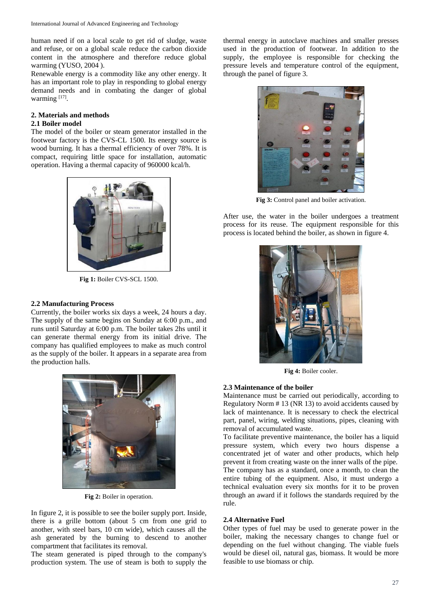human need if on a local scale to get rid of sludge, waste and refuse, or on a global scale reduce the carbon dioxide content in the atmosphere and therefore reduce global warming (YUSO, 2004 ).

Renewable energy is a commodity like any other energy. It has an important role to play in responding to global energy demand needs and in combating the danger of global warming [17].

# **2. Materials and methods**

## **2.1 Boiler model**

The model of the boiler or steam generator installed in the footwear factory is the CVS-CL 1500. Its energy source is wood burning. It has a thermal efficiency of over 78%. It is compact, requiring little space for installation, automatic operation. Having a thermal capacity of 960000 kcal/h.



**Fig 1:** Boiler CVS-SCL 1500.

# **2.2 Manufacturing Process**

Currently, the boiler works six days a week, 24 hours a day. The supply of the same begins on Sunday at 6:00 p.m., and runs until Saturday at 6:00 p.m. The boiler takes 2hs until it can generate thermal energy from its initial drive. The company has qualified employees to make as much control as the supply of the boiler. It appears in a separate area from the production halls.



**Fig 2:** Boiler in operation.

In figure 2, it is possible to see the boiler supply port. Inside, there is a grille bottom (about 5 cm from one grid to another, with steel bars, 10 cm wide), which causes all the ash generated by the burning to descend to another compartment that facilitates its removal.

The steam generated is piped through to the company's production system. The use of steam is both to supply the

thermal energy in autoclave machines and smaller presses used in the production of footwear. In addition to the supply, the employee is responsible for checking the pressure levels and temperature control of the equipment, through the panel of figure 3.



**Fig 3:** Control panel and boiler activation.

After use, the water in the boiler undergoes a treatment process for its reuse. The equipment responsible for this process is located behind the boiler, as shown in figure 4.



**Fig 4:** Boiler cooler.

# **2.3 Maintenance of the boiler**

Maintenance must be carried out periodically, according to Regulatory Norm # 13 (NR 13) to avoid accidents caused by lack of maintenance. It is necessary to check the electrical part, panel, wiring, welding situations, pipes, cleaning with removal of accumulated waste.

To facilitate preventive maintenance, the boiler has a liquid pressure system, which every two hours dispense a concentrated jet of water and other products, which help prevent it from creating waste on the inner walls of the pipe. The company has as a standard, once a month, to clean the entire tubing of the equipment. Also, it must undergo a technical evaluation every six months for it to be proven through an award if it follows the standards required by the rule.

#### **2.4 Alternative Fuel**

Other types of fuel may be used to generate power in the boiler, making the necessary changes to change fuel or depending on the fuel without changing. The viable fuels would be diesel oil, natural gas, biomass. It would be more feasible to use biomass or chip.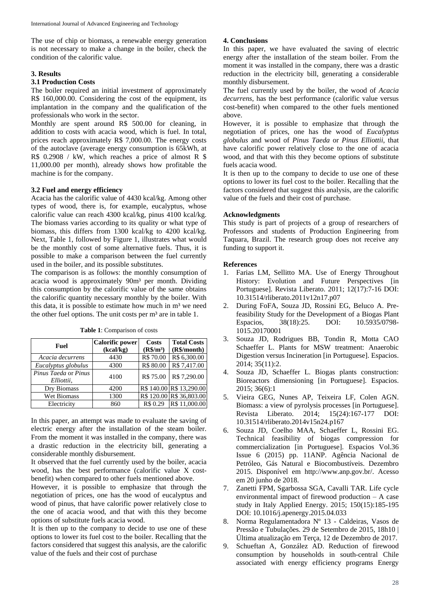The use of chip or biomass, a renewable energy generation is not necessary to make a change in the boiler, check the condition of the calorific value.

## **3. Results**

# **3.1 Production Costs**

The boiler required an initial investment of approximately R\$ 160,000.00. Considering the cost of the equipment, its implantation in the company and the qualification of the professionals who work in the sector.

Monthly are spent around R\$ 500.00 for cleaning, in addition to costs with acacia wood, which is fuel. In total, prices reach approximately R\$ 7,000.00. The energy costs of the autoclave (average energy consumption is 65kWh, at R\$ 0.2908 / kW, which reaches a price of almost R \$ 11,000.00 per month), already shows how profitable the machine is for the company.

# **3.2 Fuel and energy efficiency**

Acacia has the calorific value of 4430 kcal/kg. Among other types of wood, there is, for example, eucalyptus, whose calorific value can reach 4300 kcal/kg, pinus 4100 kcal/kg. The biomass varies according to its quality or what type of biomass, this differs from 1300 kcal/kg to 4200 kcal/kg. Next, Table 1, followed by Figure 1, illustrates what would be the monthly cost of some alternative fuels. Thus, it is possible to make a comparison between the fuel currently used in the boiler, and its possible substitutes.

The comparison is as follows: the monthly consumption of acacia wood is approximately 90m³ per month. Dividing this consumption by the calorific value of the same obtains the calorific quantity necessary monthly by the boiler. With this data, it is possible to estimate how much in  $m<sup>3</sup>$  we need the other fuel options. The unit costs per  $m<sup>3</sup>$  are in table 1.

| Fuel                               | <b>Calorific power</b><br>(kcal/kg) | Costs<br>$(R\$/m^3)$ | <b>Total Costs</b><br>(R\$/month) |
|------------------------------------|-------------------------------------|----------------------|-----------------------------------|
| Acacia decurrens                   | 4430                                | R\$ 70.00            | R\$ 6,300.00                      |
| Eucalyptus globulus                | 4300                                | R\$ 80.00            | R\$ 7,417.00                      |
| Pinus Taeda or Pinus<br>Elliottii, | 4100                                | R\$ 75.00            | R\$ 7,290.00                      |
| Dry Biomass                        | 4200                                |                      | R\$ 140.00 R\$ 13,290.00          |
| Wet Biomass                        | 1300                                |                      | R\$ 120.00 R\$ 36,803.00          |
| Electricity                        | 860                                 | R\$ 0.29             | R\$ 11,000.00                     |

**Table 1**: Comparison of costs

In this paper, an attempt was made to evaluate the saving of electric energy after the installation of the steam boiler. From the moment it was installed in the company, there was a drastic reduction in the electricity bill, generating a considerable monthly disbursement.

It observed that the fuel currently used by the boiler, acacia wood, has the best performance (calorific value X costbenefit) when compared to other fuels mentioned above.

However, it is possible to emphasize that through the negotiation of prices, one has the wood of eucalyptus and wood of pinus, that have calorific power relatively close to the one of acacia wood, and that with this they become options of substitute fuels acacia wood.

It is then up to the company to decide to use one of these options to lower its fuel cost to the boiler. Recalling that the factors considered that suggest this analysis, are the calorific value of the fuels and their cost of purchase

# **4. Conclusions**

In this paper, we have evaluated the saving of electric energy after the installation of the steam boiler. From the moment it was installed in the company, there was a drastic reduction in the electricity bill, generating a considerable monthly disbursement.

The fuel currently used by the boiler, the wood of *Acacia decurrens*, has the best performance (calorific value versus cost-benefit) when compared to the other fuels mentioned above.

However, it is possible to emphasize that through the negotiation of prices, one has the wood of *Eucalyptus globulus* and wood of *Pinus Taeda* or *Pinus Elliottii*, that have calorific power relatively close to the one of acacia wood, and that with this they become options of substitute fuels acacia wood.

It is then up to the company to decide to use one of these options to lower its fuel cost to the boiler. Recalling that the factors considered that suggest this analysis, are the calorific value of the fuels and their cost of purchase.

# **Acknowledgments**

This study is part of projects of a group of researchers of Professors and students of Production Engineering from Taquara, Brazil. The research group does not receive any funding to support it.

## **References**

- 1. Farias LM, Sellitto MA. Use of Energy Throughout History: Evolution and Future Perspectives [in] Portuguese]. Revista Liberato. 2011; 12(17):7-16 DOI: 10.31514/rliberato.2011v12n17.p07
- 2. During FoFA, Souza JD, Rossini EG, Beluco A. Prefeasibility Study for the Development of a Biogas Plant Espacios, 38(18):25. DOI: 10.5935/0798- 1015.20170001
- 3. Souza JD, Rodrigues BB, Tondin R, Motta CAO Schaeffer L. Plants for MSW treatment: Anaerobic Digestion versus Incineration [in Portuguese]. Espacios. 2014; 35(11):2.
- 4. Souza JD, Schaeffer L. Biogas plants construction: Bioreactors dimensioning [in Portuguese]. Espacios. 2015; 36(6):1
- 5. Vieira GEG, Nunes AP, Teixeira LF, Colen AGN. Biomass: a view of pyrolysis processes [in Portuguese]. Revista Liberato. 2014; 15(24):167-177 DOI: 10.31514/rliberato.2014v15n24.p167
- 6. Souza JD, Coelho MAA, Schaeffer L, Rossini EG. Technical feasibility of biogas compression for commercialization [in Portuguese]. Espacios Vol.36 Issue 6 (2015) pp. 11ANP. Agência Nacional de Petróleo, Gás Natural e Biocombustíveis. Dezembro 2015. Disponível em http://www.anp.gov.br/. Acesso em 20 junho de 2018.
- 7. Zanetti FPM, Sgarbossa SGA, Cavalli TAR. Life cycle environmental impact of firewood production – A case study in Italy Applied Energy. 2015; 150(15):185-195 DOI: 10.1016/j.apenergy.2015.04.033
- 8. Norma Regulamentadora Nº 13 Caldeiras, Vasos de Pressão e Tubulações. 29 de Setembro de 2015, 18h10 | Última atualização em Terça, 12 de Dezembro de 2017.
- 9. Schueftan A, González AD. Reduction of firewood consumption by households in south-central Chile associated with energy efficiency programs Energy